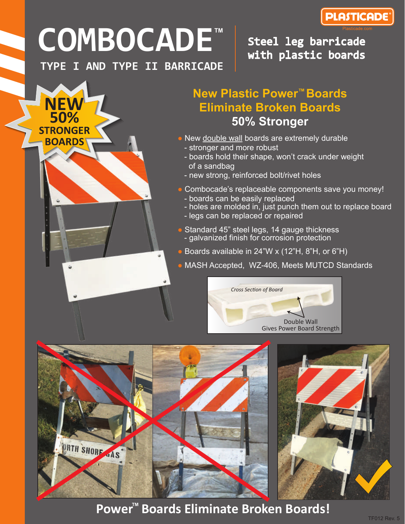

## **COMBOCADE TM**

**TYPE I AND TYPE II BARRICADE**

50% **STRONGER BOARDS** 

Steel leg barricade with plastic boards

## **New Plastic Power™ Boards Eliminate Broken Boards 50% Stronger**

- New double wall boards are extremely durable
	- stronger and more robust
	- boards hold their shape, won't crack under weight of a sandbag
	- new strong, reinforced bolt/rivet holes
- Combocade's replaceable components save you money! - boards can be easily replaced
	- holes are molded in, just punch them out to replace board
	- legs can be replaced or repaired
- **Standard 45" steel legs, 14 gauge thickness** - galvanized finish for corrosion protection
- Boards available in  $24$ "W x (12"H, 8"H, or 6"H)
- MASH Accepted, WZ-406, Meets MUTCD Standards





**Power ™ Boards Eliminate Broken Boards!**